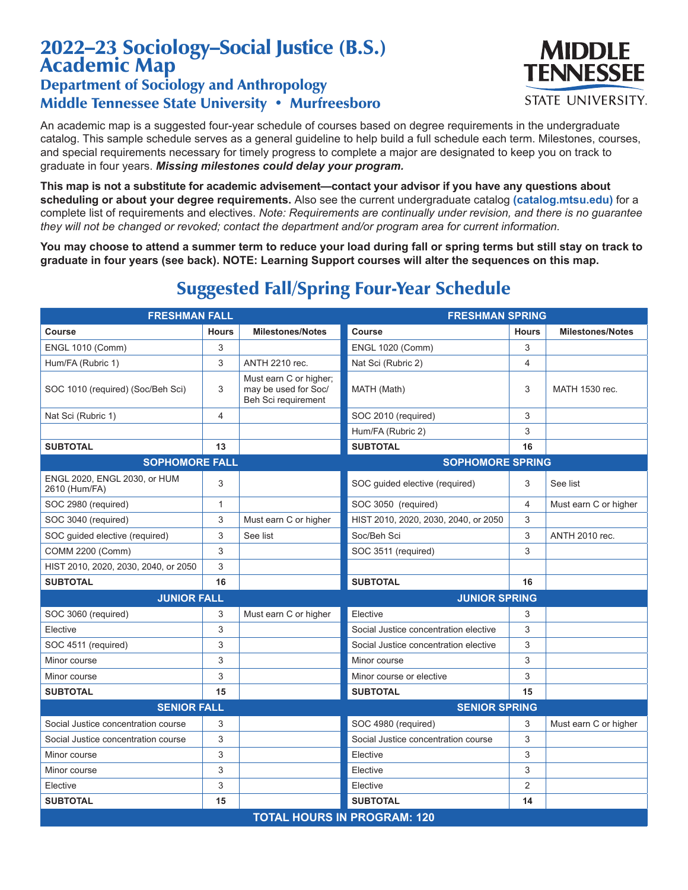## 2022–23 Sociology–Social Justice (B.S.) Academic Map

## Department of Sociology and Anthropology Middle Tennessee State University • Murfreesboro

An academic map is a suggested four-year schedule of courses based on degree requirements in the undergraduate catalog. This sample schedule serves as a general guideline to help build a full schedule each term. Milestones, courses, and special requirements necessary for timely progress to complete a major are designated to keep you on track to graduate in four years. *Missing milestones could delay your program.*

**This map is not a substitute for academic advisement—contact your advisor if you have any questions about scheduling or about your degree requirements.** Also see the current undergraduate catalog **(catalog.mtsu.edu)** for a complete list of requirements and electives. *Note: Requirements are continually under revision, and there is no guarantee they will not be changed or revoked; contact the department and/or program area for current information.*

**You may choose to attend a summer term to reduce your load during fall or spring terms but still stay on track to graduate in four years (see back). NOTE: Learning Support courses will alter the sequences on this map.**

| <b>FRESHMAN FALL</b>                          |              |                                                                       | <b>FRESHMAN SPRING</b>                |                |                         |  |  |
|-----------------------------------------------|--------------|-----------------------------------------------------------------------|---------------------------------------|----------------|-------------------------|--|--|
| Course                                        | <b>Hours</b> | <b>Milestones/Notes</b>                                               | Course                                | <b>Hours</b>   | <b>Milestones/Notes</b> |  |  |
| <b>ENGL 1010 (Comm)</b>                       | 3            |                                                                       | <b>ENGL 1020 (Comm)</b>               | 3              |                         |  |  |
| Hum/FA (Rubric 1)                             | 3            | <b>ANTH 2210 rec.</b>                                                 | Nat Sci (Rubric 2)                    | 4              |                         |  |  |
| SOC 1010 (required) (Soc/Beh Sci)             | 3            | Must earn C or higher;<br>may be used for Soc/<br>Beh Sci requirement | MATH (Math)                           | 3              | MATH 1530 rec.          |  |  |
| Nat Sci (Rubric 1)                            | 4            |                                                                       | SOC 2010 (required)                   | 3              |                         |  |  |
|                                               |              |                                                                       | Hum/FA (Rubric 2)                     | 3              |                         |  |  |
| <b>SUBTOTAL</b>                               | 13           |                                                                       | <b>SUBTOTAL</b>                       | 16             |                         |  |  |
| <b>SOPHOMORE FALL</b>                         |              |                                                                       | <b>SOPHOMORE SPRING</b>               |                |                         |  |  |
| ENGL 2020, ENGL 2030, or HUM<br>2610 (Hum/FA) | 3            |                                                                       | SOC quided elective (required)        | 3              | See list                |  |  |
| SOC 2980 (required)                           | 1            |                                                                       | SOC 3050 (required)                   | $\overline{4}$ | Must earn C or higher   |  |  |
| SOC 3040 (required)                           | 3            | Must earn C or higher                                                 | HIST 2010, 2020, 2030, 2040, or 2050  | 3              |                         |  |  |
| SOC guided elective (required)                | 3            | See list                                                              | Soc/Beh Sci                           | 3              | <b>ANTH 2010 rec.</b>   |  |  |
| COMM 2200 (Comm)                              | 3            |                                                                       | SOC 3511 (required)                   | 3              |                         |  |  |
| HIST 2010, 2020, 2030, 2040, or 2050          | 3            |                                                                       |                                       |                |                         |  |  |
| <b>SUBTOTAL</b>                               | 16           |                                                                       | <b>SUBTOTAL</b>                       | 16             |                         |  |  |
| <b>JUNIOR FALL</b>                            |              |                                                                       | <b>JUNIOR SPRING</b>                  |                |                         |  |  |
| SOC 3060 (required)                           | 3            | Must earn C or higher                                                 | Elective                              | 3              |                         |  |  |
| Elective                                      | 3            |                                                                       | Social Justice concentration elective | 3              |                         |  |  |
| SOC 4511 (required)                           | 3            |                                                                       | Social Justice concentration elective | 3              |                         |  |  |
| Minor course                                  | 3            |                                                                       | Minor course                          | 3              |                         |  |  |
| Minor course                                  | 3            |                                                                       | Minor course or elective              | 3              |                         |  |  |
| <b>SUBTOTAL</b>                               | 15           |                                                                       | <b>SUBTOTAL</b>                       | 15             |                         |  |  |
| <b>SENIOR FALL</b>                            |              |                                                                       | <b>SENIOR SPRING</b>                  |                |                         |  |  |
| Social Justice concentration course           | 3            |                                                                       | SOC 4980 (required)                   | 3              | Must earn C or higher   |  |  |
| Social Justice concentration course           | 3            |                                                                       | Social Justice concentration course   | 3              |                         |  |  |
| Minor course                                  | 3            |                                                                       | Elective                              | 3              |                         |  |  |
| Minor course                                  | 3            |                                                                       | Elective                              | 3              |                         |  |  |
| Elective                                      | 3            |                                                                       | Elective                              | $\overline{2}$ |                         |  |  |
| <b>SUBTOTAL</b>                               | 15           |                                                                       | <b>SUBTOTAL</b>                       | 14             |                         |  |  |
| <b>TOTAL HOURS IN PROGRAM: 120</b>            |              |                                                                       |                                       |                |                         |  |  |

## Suggested Fall/Spring Four-Year Schedule